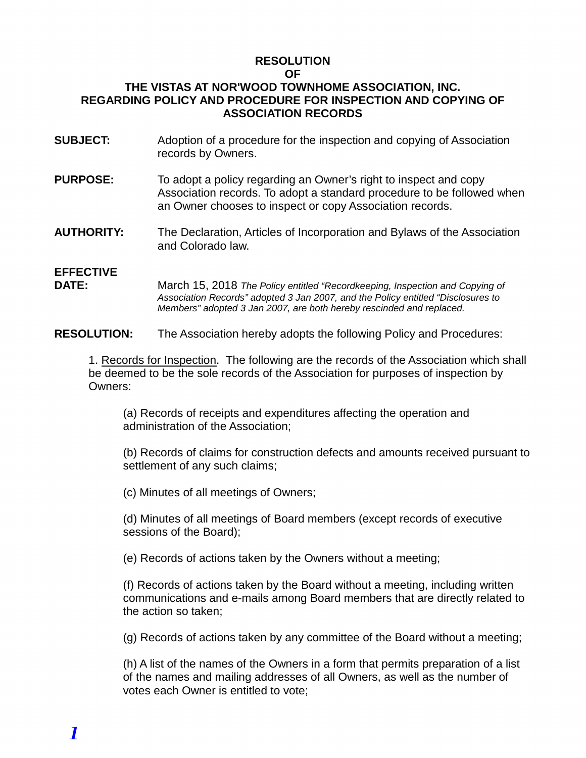#### **RESOLUTION OF**

### **THE VISTAS AT NOR'WOOD TOWNHOME ASSOCIATION, INC. REGARDING POLICY AND PROCEDURE FOR INSPECTION AND COPYING OF ASSOCIATION RECORDS**

- **SUBJECT:** Adoption of a procedure for the inspection and copying of Association records by Owners.
- **PURPOSE:** To adopt a policy regarding an Owner's right to inspect and copy Association records. To adopt a standard procedure to be followed when an Owner chooses to inspect or copy Association records.
- **AUTHORITY:** The Declaration, Articles of Incorporation and Bylaws of the Association and Colorado law.

## **EFFECTIVE**

**DATE:** March 15, 2018 *The Policy entitled "Recordkeeping, Inspection and Copying of Association Records" adopted 3 Jan 2007, and the Policy entitled "Disclosures to Members" adopted 3 Jan 2007, are both hereby rescinded and replaced.*

**RESOLUTION:** The Association hereby adopts the following Policy and Procedures:

1. Records for Inspection. The following are the records of the Association which shall be deemed to be the sole records of the Association for purposes of inspection by Owners:

(a) Records of receipts and expenditures affecting the operation and administration of the Association;

(b) Records of claims for construction defects and amounts received pursuant to settlement of any such claims;

(c) Minutes of all meetings of Owners;

(d) Minutes of all meetings of Board members (except records of executive sessions of the Board);

(e) Records of actions taken by the Owners without a meeting;

(f) Records of actions taken by the Board without a meeting, including written communications and e-mails among Board members that are directly related to the action so taken;

(g) Records of actions taken by any committee of the Board without a meeting;

(h) A list of the names of the Owners in a form that permits preparation of a list of the names and mailing addresses of all Owners, as well as the number of votes each Owner is entitled to vote;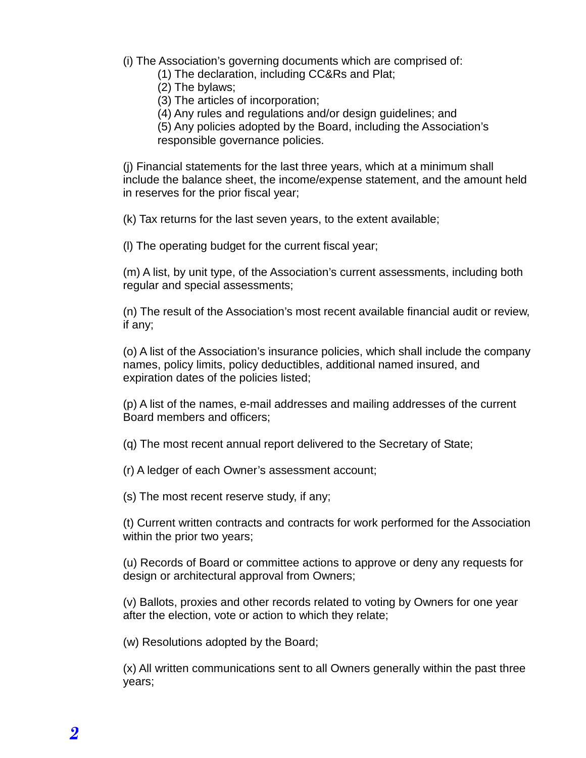- (i) The Association's governing documents which are comprised of:
	- (1) The declaration, including CC&Rs and Plat;
	- (2) The bylaws;
	- (3) The articles of incorporation;
	- (4) Any rules and regulations and/or design guidelines; and

(5) Any policies adopted by the Board, including the Association's responsible governance policies.

(j) Financial statements for the last three years, which at a minimum shall include the balance sheet, the income/expense statement, and the amount held in reserves for the prior fiscal year;

(k) Tax returns for the last seven years, to the extent available;

(l) The operating budget for the current fiscal year;

(m) A list, by unit type, of the Association's current assessments, including both regular and special assessments;

(n) The result of the Association's most recent available financial audit or review, if any;

(o) A list of the Association's insurance policies, which shall include the company names, policy limits, policy deductibles, additional named insured, and expiration dates of the policies listed;

(p) A list of the names, e-mail addresses and mailing addresses of the current Board members and officers;

(q) The most recent annual report delivered to the Secretary of State;

(r) A ledger of each Owner's assessment account;

(s) The most recent reserve study, if any;

(t) Current written contracts and contracts for work performed for the Association within the prior two years;

(u) Records of Board or committee actions to approve or deny any requests for design or architectural approval from Owners;

(v) Ballots, proxies and other records related to voting by Owners for one year after the election, vote or action to which they relate;

(w) Resolutions adopted by the Board;

(x) All written communications sent to all Owners generally within the past three years;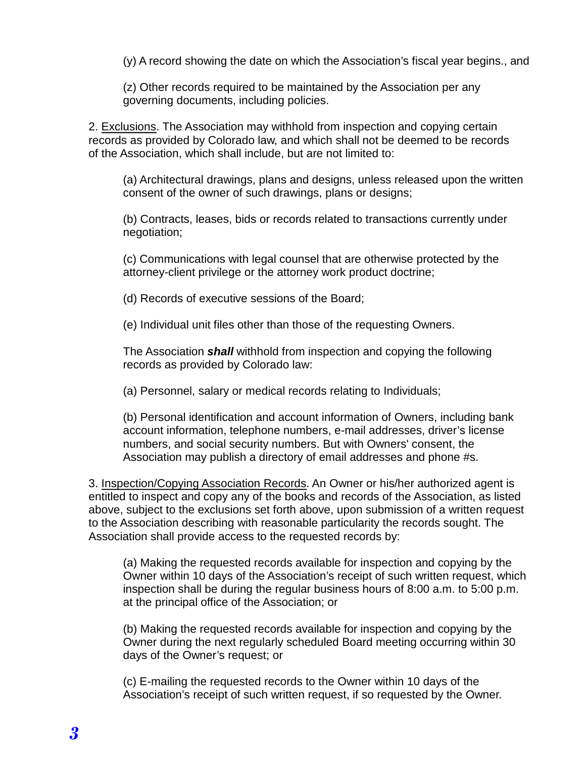(y) A record showing the date on which the Association's fiscal year begins., and

(z) Other records required to be maintained by the Association per any governing documents, including policies.

2. Exclusions. The Association may withhold from inspection and copying certain records as provided by Colorado law, and which shall not be deemed to be records of the Association, which shall include, but are not limited to:

(a) Architectural drawings, plans and designs, unless released upon the written consent of the owner of such drawings, plans or designs;

(b) Contracts, leases, bids or records related to transactions currently under negotiation;

(c) Communications with legal counsel that are otherwise protected by the attorney-client privilege or the attorney work product doctrine;

(d) Records of executive sessions of the Board;

(e) Individual unit files other than those of the requesting Owners.

The Association *shall* withhold from inspection and copying the following records as provided by Colorado law:

(a) Personnel, salary or medical records relating to Individuals;

(b) Personal identification and account information of Owners, including bank account information, telephone numbers, e-mail addresses, driver's license numbers, and social security numbers. But with Owners' consent, the Association may publish a directory of email addresses and phone #s.

3. Inspection/Copying Association Records. An Owner or his/her authorized agent is entitled to inspect and copy any of the books and records of the Association, as listed above, subject to the exclusions set forth above, upon submission of a written request to the Association describing with reasonable particularity the records sought. The Association shall provide access to the requested records by:

(a) Making the requested records available for inspection and copying by the Owner within 10 days of the Association's receipt of such written request, which inspection shall be during the regular business hours of 8:00 a.m. to 5:00 p.m. at the principal office of the Association; or

(b) Making the requested records available for inspection and copying by the Owner during the next regularly scheduled Board meeting occurring within 30 days of the Owner's request; or

(c) E-mailing the requested records to the Owner within 10 days of the Association's receipt of such written request, if so requested by the Owner.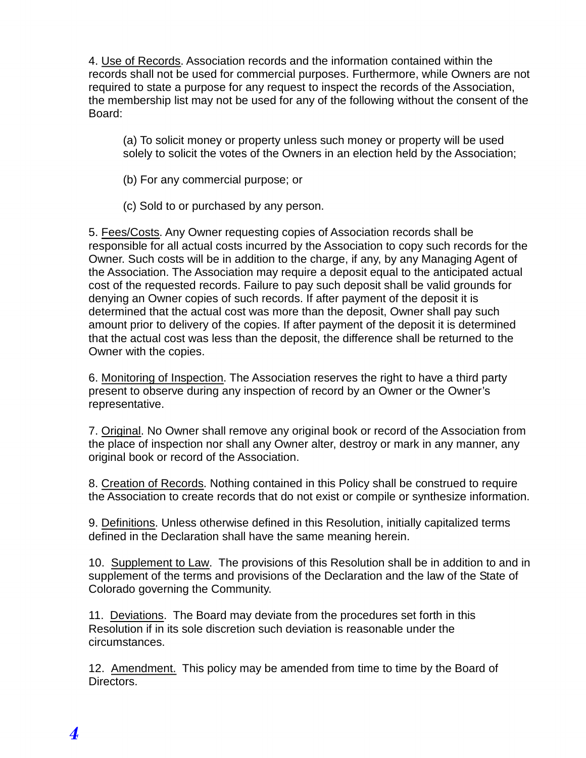4. Use of Records. Association records and the information contained within the records shall not be used for commercial purposes. Furthermore, while Owners are not required to state a purpose for any request to inspect the records of the Association, the membership list may not be used for any of the following without the consent of the Board:

(a) To solicit money or property unless such money or property will be used solely to solicit the votes of the Owners in an election held by the Association;

- (b) For any commercial purpose; or
- (c) Sold to or purchased by any person.

5. Fees/Costs. Any Owner requesting copies of Association records shall be responsible for all actual costs incurred by the Association to copy such records for the Owner. Such costs will be in addition to the charge, if any, by any Managing Agent of the Association. The Association may require a deposit equal to the anticipated actual cost of the requested records. Failure to pay such deposit shall be valid grounds for denying an Owner copies of such records. If after payment of the deposit it is determined that the actual cost was more than the deposit, Owner shall pay such amount prior to delivery of the copies. If after payment of the deposit it is determined that the actual cost was less than the deposit, the difference shall be returned to the Owner with the copies.

6. Monitoring of Inspection. The Association reserves the right to have a third party present to observe during any inspection of record by an Owner or the Owner's representative.

7. Original. No Owner shall remove any original book or record of the Association from the place of inspection nor shall any Owner alter, destroy or mark in any manner, any original book or record of the Association.

8. Creation of Records. Nothing contained in this Policy shall be construed to require the Association to create records that do not exist or compile or synthesize information.

9. Definitions. Unless otherwise defined in this Resolution, initially capitalized terms defined in the Declaration shall have the same meaning herein.

10. Supplement to Law. The provisions of this Resolution shall be in addition to and in supplement of the terms and provisions of the Declaration and the law of the State of Colorado governing the Community.

11. Deviations. The Board may deviate from the procedures set forth in this Resolution if in its sole discretion such deviation is reasonable under the circumstances.

12. Amendment. This policy may be amended from time to time by the Board of Directors.